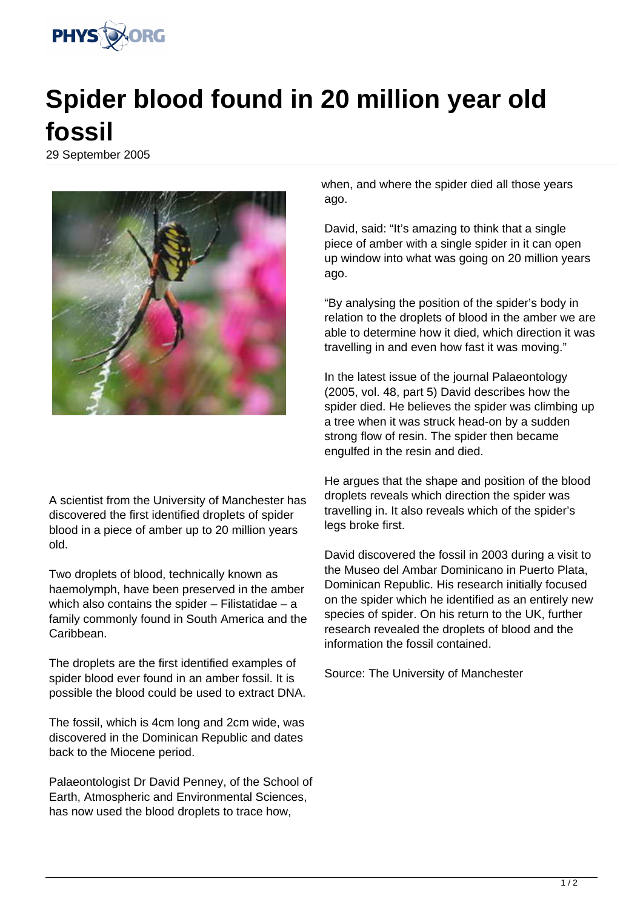

## **Spider blood found in 20 million year old fossil**

29 September 2005



A scientist from the University of Manchester has discovered the first identified droplets of spider blood in a piece of amber up to 20 million years old.

Two droplets of blood, technically known as haemolymph, have been preserved in the amber which also contains the spider - Filistatidae - a family commonly found in South America and the Caribbean.

The droplets are the first identified examples of spider blood ever found in an amber fossil. It is possible the blood could be used to extract DNA.

The fossil, which is 4cm long and 2cm wide, was discovered in the Dominican Republic and dates back to the Miocene period.

Palaeontologist Dr David Penney, of the School of Earth, Atmospheric and Environmental Sciences, has now used the blood droplets to trace how,

when, and where the spider died all those years ago.

David, said: "It's amazing to think that a single piece of amber with a single spider in it can open up window into what was going on 20 million years ago.

"By analysing the position of the spider's body in relation to the droplets of blood in the amber we are able to determine how it died, which direction it was travelling in and even how fast it was moving."

In the latest issue of the journal Palaeontology (2005, vol. 48, part 5) David describes how the spider died. He believes the spider was climbing up a tree when it was struck head-on by a sudden strong flow of resin. The spider then became engulfed in the resin and died.

He argues that the shape and position of the blood droplets reveals which direction the spider was travelling in. It also reveals which of the spider's legs broke first.

David discovered the fossil in 2003 during a visit to the Museo del Ambar Dominicano in Puerto Plata, Dominican Republic. His research initially focused on the spider which he identified as an entirely new species of spider. On his return to the UK, further research revealed the droplets of blood and the information the fossil contained.

Source: The University of Manchester